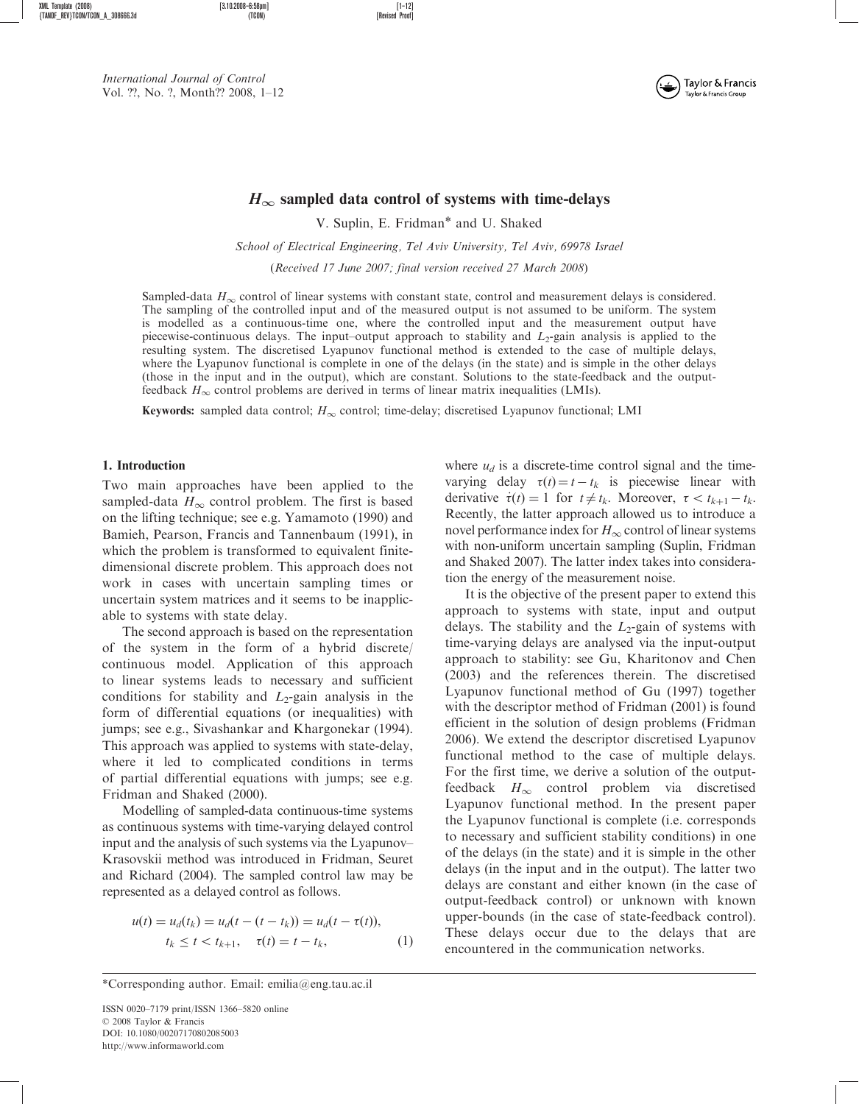XML Template (2008) [3.10.2008–6:58pm] [1–12]  ${f}$ TANDF\_REV}TCON/TCON\_A\_308666.3d

International Journal of Control Vol. ??, No. ?, Month?? 2008, 1–12



# $H_{\infty}$  sampled data control of systems with time-delays

V. Suplin, E. Fridman\* and U. Shaked School of Electrical Engineering, Tel Aviv University, Tel Aviv, 69978 Israel (Received 17 June 2007; final version received 27 March 2008)

Sampled-data  $H_{\infty}$  control of linear systems with constant state, control and measurement delays is considered. The sampling of the controlled input and of the measured output is not assumed to be uniform. The system is modelled as a continuous-time one, where the controlled input and the measurement output have piecewise-continuous delays. The input–output approach to stability and  $L_2$ -gain analysis is applied to the resulting system. The discretised Lyapunov functional method is extended to the case of multiple delays, where the Lyapunov functional is complete in one of the delays (in the state) and is simple in the other delays (those in the input and in the output), which are constant. Solutions to the state-feedback and the outputfeedback  $H_{\infty}$  control problems are derived in terms of linear matrix inequalities (LMIs).

**Keywords:** sampled data control;  $H_{\infty}$  control; time-delay; discretised Lyapunov functional; LMI

#### 1. Introduction

Two main approaches have been applied to the sampled-data  $H_{\infty}$  control problem. The first is based on the lifting technique; see e.g. Yamamoto (1990) and Bamieh, Pearson, Francis and Tannenbaum (1991), in which the problem is transformed to equivalent finitedimensional discrete problem. This approach does not work in cases with uncertain sampling times or uncertain system matrices and it seems to be inapplicable to systems with state delay.

The second approach is based on the representation of the system in the form of a hybrid discrete/ continuous model. Application of this approach to linear systems leads to necessary and sufficient conditions for stability and  $L_2$ -gain analysis in the form of differential equations (or inequalities) with jumps; see e.g., Sivashankar and Khargonekar (1994). This approach was applied to systems with state-delay, where it led to complicated conditions in terms of partial differential equations with jumps; see e.g. Fridman and Shaked (2000).

Modelling of sampled-data continuous-time systems as continuous systems with time-varying delayed control input and the analysis of such systems via the Lyapunov– Krasovskii method was introduced in Fridman, Seuret and Richard (2004). The sampled control law may be represented as a delayed control as follows.

$$
u(t) = u_d(t_k) = u_d(t - (t - t_k)) = u_d(t - \tau(t)),
$$
  
\n
$$
t_k \le t < t_{k+1}, \quad \tau(t) = t - t_k,
$$
\n(1)

where  $u_d$  is a discrete-time control signal and the timevarying delay  $\tau(t) = t - t_k$  is piecewise linear with derivative  $\dot{\tau}(t) = 1$  for  $t \neq t_k$ . Moreover,  $\tau < t_{k+1} - t_k$ . Recently, the latter approach allowed us to introduce a novel performance index for  $H_{\infty}$  control of linear systems with non-uniform uncertain sampling (Suplin, Fridman and Shaked 2007). The latter index takes into consideration the energy of the measurement noise.

It is the objective of the present paper to extend this approach to systems with state, input and output delays. The stability and the  $L_2$ -gain of systems with time-varying delays are analysed via the input-output approach to stability: see Gu, Kharitonov and Chen (2003) and the references therein. The discretised Lyapunov functional method of Gu (1997) together with the descriptor method of Fridman (2001) is found efficient in the solution of design problems (Fridman 2006). We extend the descriptor discretised Lyapunov functional method to the case of multiple delays. For the first time, we derive a solution of the outputfeedback  $H_{\infty}$  control problem via discretised Lyapunov functional method. In the present paper the Lyapunov functional is complete (i.e. corresponds to necessary and sufficient stability conditions) in one of the delays (in the state) and it is simple in the other delays (in the input and in the output). The latter two delays are constant and either known (in the case of output-feedback control) or unknown with known upper-bounds (in the case of state-feedback control). These delays occur due to the delays that are encountered in the communication networks.

<sup>\*</sup>Corresponding author. Email: emilia@eng.tau.ac.il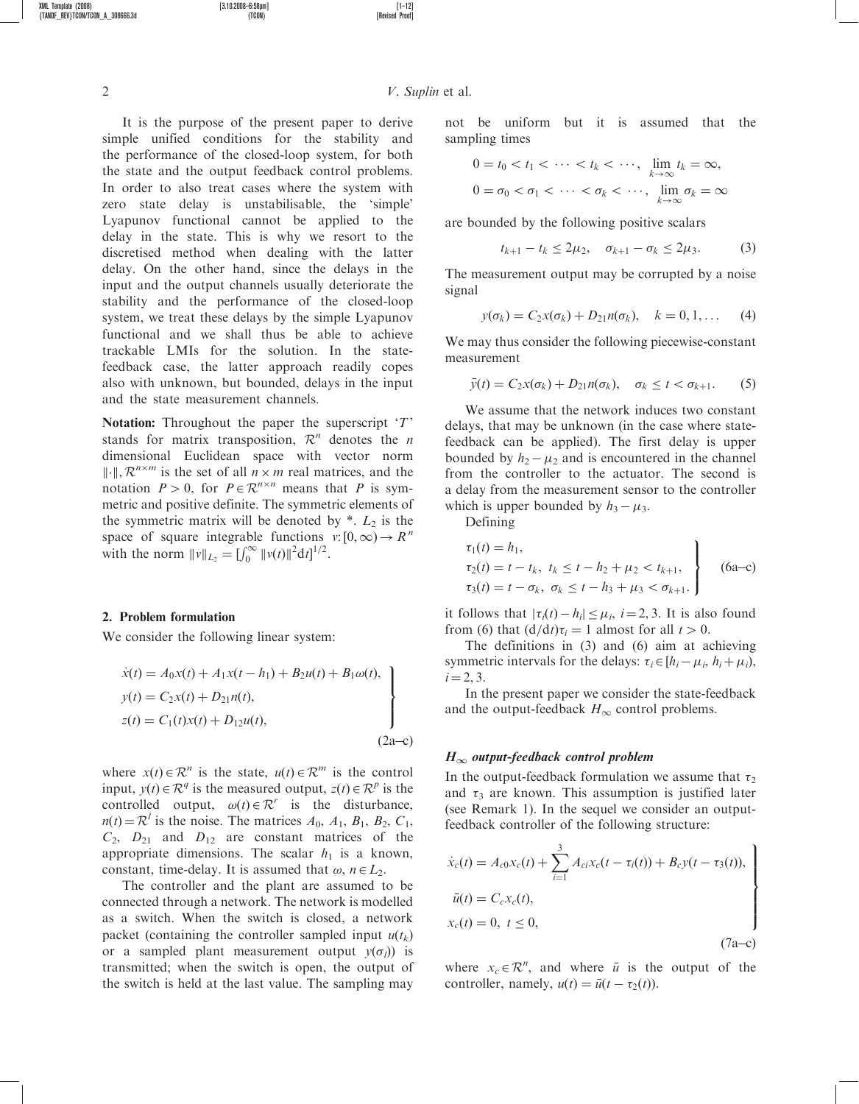2 V. Suplin et al.

not be uniform but it is assumed that the sampling times

$$
0 = t_0 < t_1 < \cdots < t_k < \cdots, \quad \lim_{k \to \infty} t_k = \infty,
$$
\n
$$
0 = \sigma_0 < \sigma_1 < \cdots < \sigma_k < \cdots, \quad \lim_{k \to \infty} \sigma_k = \infty
$$

are bounded by the following positive scalars

$$
t_{k+1} - t_k \le 2\mu_2, \quad \sigma_{k+1} - \sigma_k \le 2\mu_3. \tag{3}
$$

The measurement output may be corrupted by a noise signal

$$
y(\sigma_k) = C_2 x(\sigma_k) + D_{21} n(\sigma_k), \quad k = 0, 1, ...
$$
 (4)

We may thus consider the following piecewise-constant measurement

$$
\bar{y}(t) = C_2 x(\sigma_k) + D_{21} n(\sigma_k), \quad \sigma_k \leq t < \sigma_{k+1}.\tag{5}
$$

We assume that the network induces two constant delays, that may be unknown (in the case where statefeedback can be applied). The first delay is upper bounded by  $h_2 - \mu_2$  and is encountered in the channel from the controller to the actuator. The second is a delay from the measurement sensor to the controller which is upper bounded by  $h_3 - \mu_3$ .

Defining

$$
\tau_1(t) = h_1,
$$
  
\n
$$
\tau_2(t) = t - t_k, \ t_k \le t - h_2 + \mu_2 < t_{k+1},
$$
  
\n
$$
\tau_3(t) = t - \sigma_k, \ \sigma_k \le t - h_3 + \mu_3 < \sigma_{k+1}.
$$
\n(6a–c)

it follows that  $|\tau_i(t) - h_i| \leq \mu_i$ ,  $i = 2, 3$ . It is also found from (6) that  $\left(\frac{d}{dt}\right)\tau_i = 1$  almost for all  $t > 0$ .

The definitions in (3) and (6) aim at achieving symmetric intervals for the delays:  $\tau_i \in [h_i - \mu_i, h_i + \mu_i)$ ,  $i = 2, 3.$ 

In the present paper we consider the state-feedback and the output-feedback  $H_{\infty}$  control problems.

#### $H_{\infty}$  output-feedback control problem

In the output-feedback formulation we assume that  $\tau_2$ and  $\tau_3$  are known. This assumption is justified later (see Remark 1). In the sequel we consider an outputfeedback controller of the following structure:

$$
\begin{aligned}\n\dot{x}_c(t) &= A_{c0}x_c(t) + \sum_{i=1}^3 A_{ci}x_c(t - \tau_i(t)) + B_cy(t - \tau_3(t)), \\
\bar{u}(t) &= C_cx_c(t), \\
x_c(t) &= 0, \ t \le 0,\n\end{aligned}
$$
\n
$$
(7a-c)
$$

where  $x_c \in \mathcal{R}^n$ , and where  $\bar{u}$  is the output of the controller, namely,  $u(t) = \bar{u}(t - \tau_2(t))$ .

simple unified conditions for the stability and the performance of the closed-loop system, for both the state and the output feedback control problems. In order to also treat cases where the system with zero state delay is unstabilisable, the 'simple' Lyapunov functional cannot be applied to the delay in the state. This is why we resort to the discretised method when dealing with the latter delay. On the other hand, since the delays in the input and the output channels usually deteriorate the stability and the performance of the closed-loop system, we treat these delays by the simple Lyapunov functional and we shall thus be able to achieve trackable LMIs for the solution. In the statefeedback case, the latter approach readily copes also with unknown, but bounded, delays in the input and the state measurement channels.

It is the purpose of the present paper to derive

Notation: Throughout the paper the superscript  $T'$ stands for matrix transposition,  $\mathcal{R}^n$  denotes the *n* dimensional Euclidean space with vector norm  $\Vert \cdot \Vert$ ,  $\mathcal{R}^{n \times m}$  is the set of all  $n \times m$  real matrices, and the notation  $P > 0$ , for  $P \in \mathbb{R}^{n \times n}$  means that P is symmetric and positive definite. The symmetric elements of the symmetric matrix will be denoted by  $*$ .  $L_2$  is the space of square integrable functions  $v: [0,\infty) \to \mathbb{R}^n$ with the norm  $||v||_{L_2} = [\int_0^\infty ||v(t)||^2 dt]^{1/2}$ .

### 2. Problem formulation

We consider the following linear system:

$$
\dot{x}(t) = A_0 x(t) + A_1 x(t - h_1) + B_2 u(t) + B_1 \omega(t),
$$
\n
$$
y(t) = C_2 x(t) + D_{21} n(t),
$$
\n
$$
z(t) = C_1(t) x(t) + D_{12} u(t),
$$
\n(2a-c)

where  $x(t) \in \mathbb{R}^n$  is the state,  $u(t) \in \mathbb{R}^m$  is the control input,  $y(t) \in \mathbb{R}^q$  is the measured output,  $z(t) \in \mathbb{R}^p$  is the controlled output,  $\omega(t) \in \mathcal{R}^r$  is the disturbance,  $n(t) = \mathcal{R}^l$  is the noise. The matrices  $A_0$ ,  $A_1$ ,  $B_1$ ,  $B_2$ ,  $C_1$ ,  $C_2$ ,  $D_{21}$  and  $D_{12}$  are constant matrices of the appropriate dimensions. The scalar  $h_1$  is a known, constant, time-delay. It is assumed that  $\omega$ ,  $n \in L_2$ .

The controller and the plant are assumed to be connected through a network. The network is modelled as a switch. When the switch is closed, a network packet (containing the controller sampled input  $u(t_k)$ ) or a sampled plant measurement output  $y(\sigma_l)$  is transmitted; when the switch is open, the output of the switch is held at the last value. The sampling may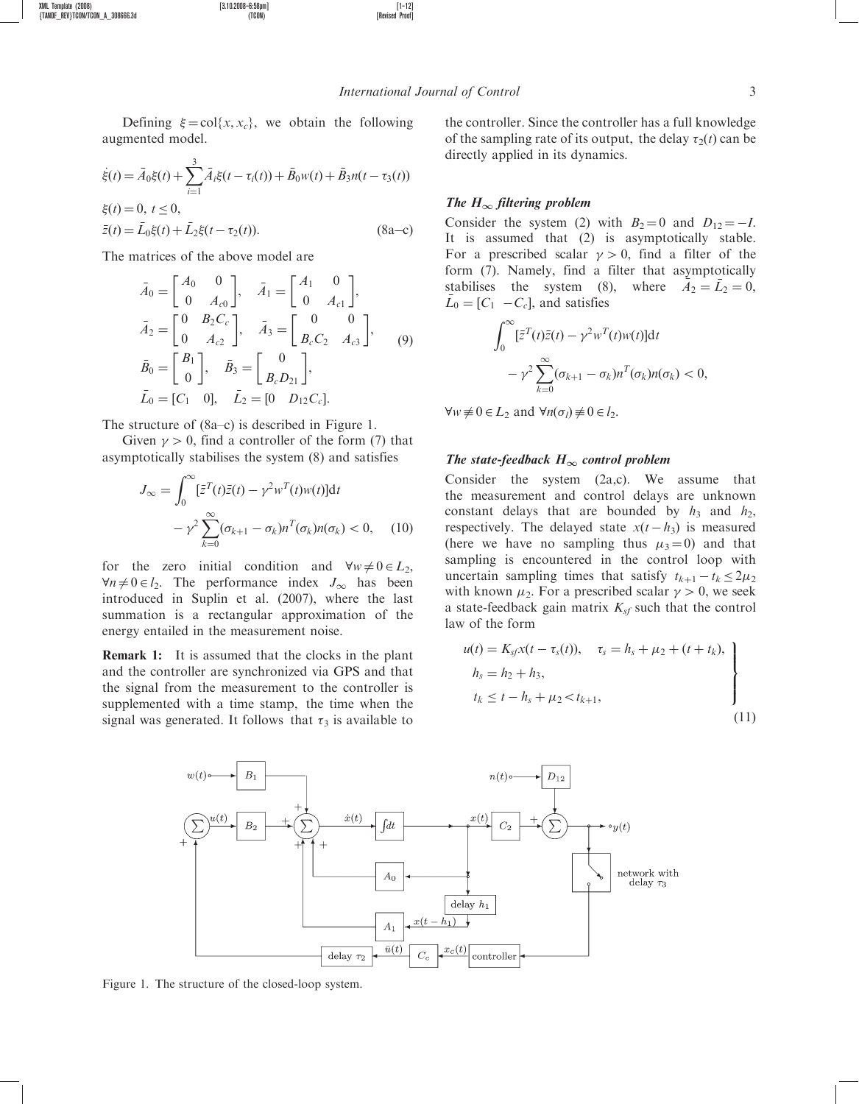Defining  $\xi = \text{col}\{x, x_c\}$ , we obtain the following augmented model.

XML Template (2008) [3.10.2008–6:58pm] [1–12]

 ${f}$ TANDF\_REV}TCON/TCON\_A\_308666.3d

$$
\dot{\xi}(t) = \bar{A}_0 \xi(t) + \sum_{i=1}^3 \bar{A}_i \xi(t - \tau_i(t)) + \bar{B}_0 w(t) + \bar{B}_3 n(t - \tau_3(t))
$$
  
\n
$$
\xi(t) = 0, \ t \le 0,
$$
  
\n
$$
\bar{z}(t) = \bar{L}_0 \xi(t) + \bar{L}_2 \xi(t - \tau_2(t)).
$$
\n(8a–c)

The matrices of the above model are

$$
\bar{A}_0 = \begin{bmatrix} A_0 & 0 \\ 0 & A_{c0} \end{bmatrix}, \quad \bar{A}_1 = \begin{bmatrix} A_1 & 0 \\ 0 & A_{c1} \end{bmatrix}, \n\bar{A}_2 = \begin{bmatrix} 0 & B_2 C_c \\ 0 & A_{c2} \end{bmatrix}, \quad \bar{A}_3 = \begin{bmatrix} 0 & 0 \\ B_c C_2 & A_{c3} \end{bmatrix}, \n\bar{B}_0 = \begin{bmatrix} B_1 \\ 0 \end{bmatrix}, \quad \bar{B}_3 = \begin{bmatrix} 0 \\ B_c D_{21} \end{bmatrix}, \n\bar{L}_0 = [C_1 \quad 0], \quad \bar{L}_2 = [0 \quad D_{12} C_c].
$$

The structure of (8a–c) is described in Figure 1.

Given  $\gamma > 0$ , find a controller of the form (7) that asymptotically stabilises the system (8) and satisfies

$$
J_{\infty} = \int_0^{\infty} [\bar{z}^T(t)\bar{z}(t) - \gamma^2 w^T(t)w(t)]dt
$$

$$
-\gamma^2 \sum_{k=0}^{\infty} (\sigma_{k+1} - \sigma_k)n^T(\sigma_k)n(\sigma_k) < 0, \quad (10)
$$

for the zero initial condition and  $\forall w \neq 0 \in L_2$ ,  $\forall n \neq 0 \in l_2$ . The performance index  $J_{\infty}$  has been introduced in Suplin et al. (2007), where the last summation is a rectangular approximation of the energy entailed in the measurement noise.

Remark 1: It is assumed that the clocks in the plant and the controller are synchronized via GPS and that the signal from the measurement to the controller is supplemented with a time stamp, the time when the signal was generated. It follows that  $\tau_3$  is available to

the controller. Since the controller has a full knowledge of the sampling rate of its output, the delay  $\tau_2(t)$  can be directly applied in its dynamics.

### The  $H_{\infty}$  filtering problem

Consider the system (2) with  $B_2 = 0$  and  $D_{12} = -I$ . It is assumed that (2) is asymptotically stable. For a prescribed scalar  $\gamma > 0$ , find a filter of the form (7). Namely, find a filter that asymptotically stabilises the system (8), where  $A_2 = \overline{L}_2 = 0$ ,  $\bar{L}_0 = [C_1 \ -C_c]$ , and satisfies

$$
\int_0^\infty [\bar{z}^T(t)\bar{z}(t) - \gamma^2 w^T(t)w(t)]dt - \gamma^2 \sum_{k=0}^\infty (\sigma_{k+1} - \sigma_k) n^T(\sigma_k) n(\sigma_k) < 0,
$$

 $\forall w \neq 0 \in L_2 \text{ and } \forall n(\sigma_l) \neq 0 \in l_2.$ 

### The state-feedback  $H_{\infty}$  control problem

Consider the system (2a,c). We assume that the measurement and control delays are unknown constant delays that are bounded by  $h_3$  and  $h_2$ , respectively. The delayed state  $x(t - h_3)$  is measured (here we have no sampling thus  $\mu_3 = 0$ ) and that sampling is encountered in the control loop with uncertain sampling times that satisfy  $t_{k+1} - t_k \leq 2\mu_2$ with known  $\mu_2$ . For a prescribed scalar  $\gamma > 0$ , we seek a state-feedback gain matrix  $K_{sf}$  such that the control law of the form

$$
u(t) = K_{sf}x(t - \tau_s(t)), \quad \tau_s = h_s + \mu_2 + (t + t_k),
$$
  
\n
$$
h_s = h_2 + h_3,
$$
  
\n
$$
t_k \le t - h_s + \mu_2 < t_{k+1},
$$
\n(11)



Figure 1. The structure of the closed-loop system.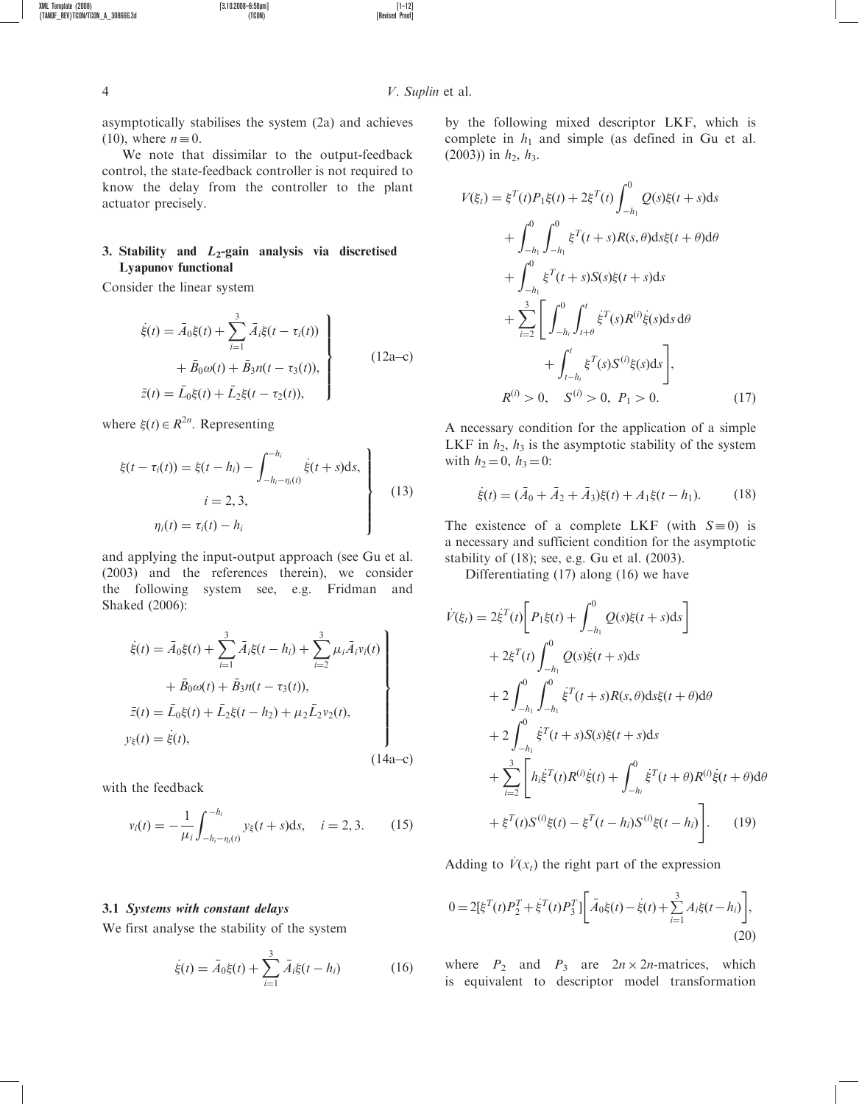asymptotically stabilises the system (2a) and achieves (10), where  $n \equiv 0$ .

XML Template (2008) [3.10.2008–6:58pm] [1–12]

We note that dissimilar to the output-feedback control, the state-feedback controller is not required to know the delay from the controller to the plant actuator precisely.

# 3. Stability and  $L_2$ -gain analysis via discretised Lyapunov functional

Consider the linear system

$$
\dot{\xi}(t) = \bar{A}_0 \xi(t) + \sum_{i=1}^3 \bar{A}_i \xi(t - \tau_i(t)) + \bar{B}_0 \omega(t) + \bar{B}_3 n(t - \tau_3(t)),
$$
\n
$$
\bar{z}(t) = \bar{L}_0 \xi(t) + \bar{L}_2 \xi(t - \tau_2(t)),
$$
\n(12a–c)

where  $\xi(t) \in R^{2n}$ . Representing

$$
\xi(t - \tau_i(t)) = \xi(t - h_i) - \int_{-h_i - \eta_i(t)}^{-h_i} \dot{\xi}(t + s) \, \mathrm{d}s,
$$
\n
$$
i = 2, 3,
$$
\n
$$
\eta_i(t) = \tau_i(t) - h_i
$$
\n(13)

and applying the input-output approach (see Gu et al. (2003) and the references therein), we consider the following system see, e.g. Fridman and Shaked (2006):

$$
\dot{\xi}(t) = \bar{A}_0 \xi(t) + \sum_{i=1}^3 \bar{A}_i \xi(t - h_i) + \sum_{i=2}^3 \mu_i \bar{A}_i v_i(t) + \bar{B}_0 \omega(t) + \bar{B}_3 n(t - \tau_3(t)),
$$
\n
$$
\bar{z}(t) = \bar{L}_0 \xi(t) + \bar{L}_2 \xi(t - h_2) + \mu_2 \bar{L}_2 v_2(t),
$$
\n
$$
y_{\xi}(t) = \dot{\xi}(t),
$$
\n(14a-c)

with the feedback

$$
v_i(t) = -\frac{1}{\mu_i} \int_{-h_i - \eta_i(t)}^{-h_i} y_{\xi}(t+s) \, \text{d}s, \quad i = 2, 3. \tag{15}
$$

#### 3.1 Systems with constant delays

We first analyse the stability of the system

$$
\dot{\xi}(t) = \bar{A}_0 \xi(t) + \sum_{i=1}^3 \bar{A}_i \xi(t - h_i)
$$
 (16)

by the following mixed descriptor LKF, which is complete in  $h_1$  and simple (as defined in Gu et al. (2003)) in  $h_2$ ,  $h_3$ .

$$
V(\xi_t) = \xi^T(t)P_1\xi(t) + 2\xi^T(t)\int_{-h_1}^0 Q(s)\xi(t+s)ds
$$
  
+ 
$$
\int_{-h_1}^0 \int_{-h_1}^0 \xi^T(t+s)R(s,\theta)ds\xi(t+\theta)d\theta
$$
  
+ 
$$
\int_{-h_1}^0 \xi^T(t+s)S(s)\xi(t+s)ds
$$
  
+ 
$$
\sum_{i=2}^3 \left[ \int_{-h_i}^0 \int_{t+\theta}^t \xi^T(s)R^{(i)}\xi(s)ds d\theta
$$
  
+ 
$$
\int_{t-h_i}^t \xi^T(s)S^{(i)}\xi(s)ds \right],
$$
  

$$
R^{(i)} > 0, \quad S^{(i)} > 0, \quad P_1 > 0.
$$
 (17)

A necessary condition for the application of a simple LKF in  $h_2$ ,  $h_3$  is the asymptotic stability of the system with  $h_2 = 0$ ,  $h_3 = 0$ :

$$
\dot{\xi}(t) = (\bar{A}_0 + \bar{A}_2 + \bar{A}_3)\xi(t) + A_1\xi(t - h_1). \tag{18}
$$

The existence of a complete LKF (with  $S = 0$ ) is a necessary and sufficient condition for the asymptotic stability of (18); see, e.g. Gu et al. (2003).

Differentiating (17) along (16) we have

$$
\dot{V}(\xi_{t}) = 2\dot{\xi}^{T}(t)\bigg[P_{1}\xi(t) + \int_{-h_{1}}^{0} Q(s)\xi(t+s)ds\bigg] \n+ 2\xi^{T}(t)\int_{-h_{1}}^{0} Q(s)\dot{\xi}(t+s)ds \n+ 2\int_{-h_{1}}^{0} \int_{-h_{1}}^{0} \dot{\xi}^{T}(t+s)R(s,\theta)ds\xi(t+\theta)d\theta \n+ 2\int_{-h_{1}}^{0} \dot{\xi}^{T}(t+s)S(s)\xi(t+s)ds \n+ \sum_{i=2}^{3} \bigg[ h_{i}\dot{\xi}^{T}(t)R^{(i)}\dot{\xi}(t) + \int_{-h_{i}}^{0} \dot{\xi}^{T}(t+\theta)R^{(i)}\dot{\xi}(t+\theta)d\theta \n+ \xi^{T}(t)S^{(i)}\xi(t) - \xi^{T}(t-h_{i})S^{(i)}\xi(t-h_{i}) \bigg].
$$
\n(19)

Adding to  $V(x_t)$  the right part of the expression

$$
0 = 2[\xi^{T}(t)P_{2}^{T} + \dot{\xi}^{T}(t)P_{3}^{T}]\bigg[\bar{A}_{0}\xi(t) - \dot{\xi}(t) + \sum_{i=1}^{3} A_{i}\xi(t - h_{i})\bigg],
$$
\n(20)

where  $P_2$  and  $P_3$  are  $2n \times 2n$ -matrices, which is equivalent to descriptor model transformation

 ${TANDF\_REV}$ T $\dot{CON}/\dot{T}CON\_A\_308666.3d$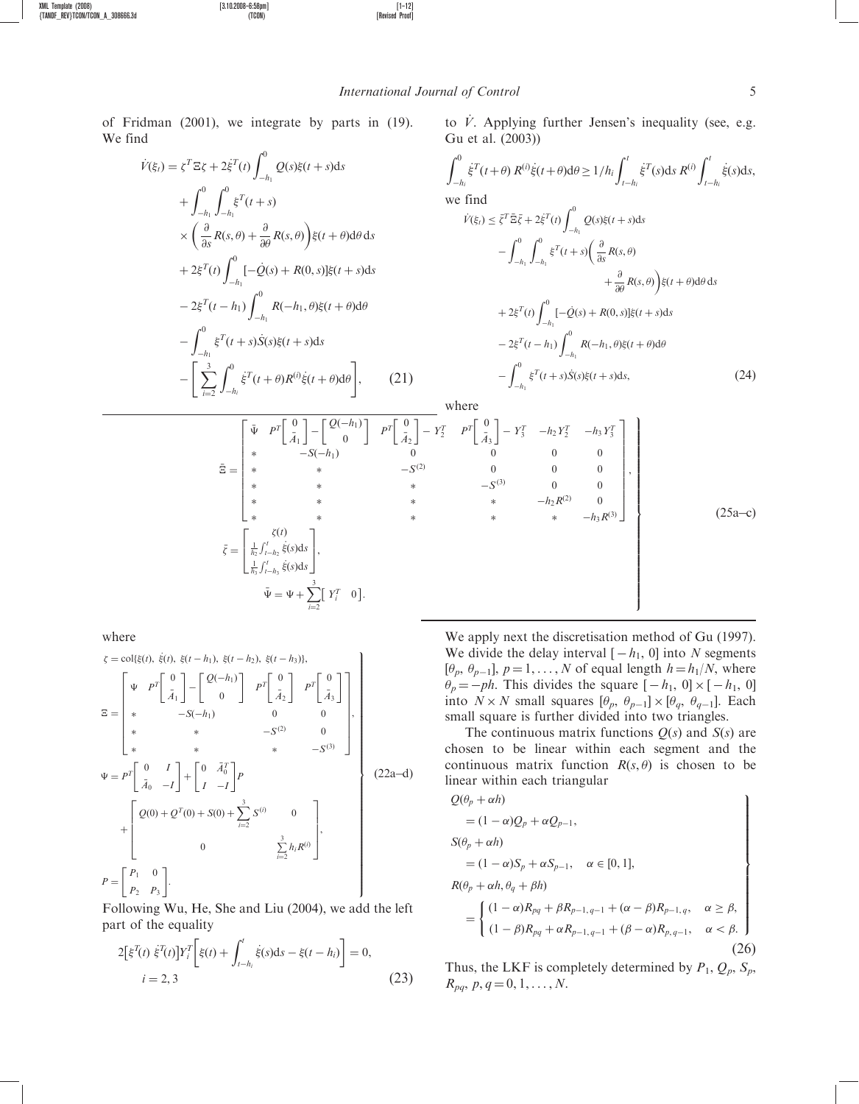$\int$ 

of Fridman (2001), we integrate by parts in (19). We find

$$
\dot{V}(\xi_{t}) = \zeta^{T} \Xi \zeta + 2 \dot{\xi}^{T}(t) \int_{-h_{1}}^{0} Q(s) \xi(t+s) ds \n+ \int_{-h_{1}}^{0} \int_{-h_{1}}^{0} \xi^{T}(t+s) \n\times \left( \frac{\partial}{\partial s} R(s, \theta) + \frac{\partial}{\partial \theta} R(s, \theta) \right) \xi(t+\theta) d\theta ds \n+ 2 \xi^{T}(t) \int_{-h_{1}}^{0} [-\dot{Q}(s) + R(0, s)] \xi(t+s) ds \n- 2 \xi^{T}(t-h_{1}) \int_{-h_{1}}^{0} R(-h_{1}, \theta) \xi(t+\theta) d\theta \n- \int_{-h_{1}}^{0} \xi^{T}(t+s) \dot{S}(s) \xi(t+s) ds \n- \left[ \sum_{i=2}^{3} \int_{-h_{i}}^{0} \xi^{T}(t+\theta) R^{(i)} \xi(t+\theta) d\theta \right], \quad (21)
$$

to  $\dot{V}$ . Applying further Jensen's inequality (see, e.g. Gu et al. (2003))

$$
\int_{-h_i}^{0} \dot{\xi}^{T}(t+\theta) R^{(i)} \dot{\xi}(t+\theta) d\theta \ge 1/h_i \int_{t-h_i}^{t} \dot{\xi}^{T}(s) ds R^{(i)} \int_{t-h_i}^{t} \dot{\xi}(s) ds,
$$
  
we find  

$$
\dot{V}(\xi_i) \le \bar{\xi}^{T} \bar{\Xi} \bar{\xi} + 2 \dot{\xi}^{T}(t) \int_{-h_1}^{0} Q(s) \xi(t+s) ds
$$

$$
- \int_{-h_1}^{0} \int_{-h_1}^{0} \xi^{T}(t+s) \left( \frac{\partial}{\partial s} R(s, \theta) + \frac{\partial}{\partial \theta} R(s, \theta) \right) \xi(t+\theta) d\theta ds
$$

$$
+ 2 \xi^{T}(t) \int_{-h_1}^{0} [-\dot{Q}(s) + R(0, s)] \xi(t+s) ds
$$

$$
- 2 \xi^{T}(t-h_1) \int_{-h_1}^{0} R(-h_1, \theta) \xi(t+\theta) d\theta
$$

$$
- \int_{-h_1}^{0} \xi^{T}(t+s) \dot{S}(s) \xi(t+s) ds, \qquad (24)
$$

where

$$
\bar{\Xi} = \begin{bmatrix} \bar{\Psi} & P^{T} \begin{bmatrix} 0 \\ \bar{A}_{1} \end{bmatrix} - \begin{bmatrix} Q(-h_{1}) \\ 0 \end{bmatrix} & P^{T} \begin{bmatrix} 0 \\ \bar{A}_{2} \end{bmatrix} - Y_{2}^{T} & P^{T} \begin{bmatrix} 0 \\ \bar{A}_{3} \end{bmatrix} - Y_{3}^{T} & -h_{2}Y_{2}^{T} & -h_{3}Y_{3}^{T} \\ 0 & 0 & 0 & 0 \\ 0 & 0 & 0 & 0 \\ * & * & * & -S^{(2)} & 0 & 0 \\ * & * & * & -h_{2}R^{(2)} & 0 \\ * & * & * & * & -h_{3}R^{(3)} \end{bmatrix},
$$
\n
$$
\bar{\zeta} = \begin{bmatrix} \zeta(t) \\ \frac{1}{h_{3}} \int_{t-h_{3}}^{t} \dot{\xi}(s) ds \\ \frac{1}{h_{3}} \int_{t-h_{3}}^{t} \dot{\xi}(s) ds \end{bmatrix},
$$
\n
$$
\bar{\Psi} = \Psi + \sum_{i=2}^{3} [Y_{i}^{T} & 0].
$$
\n(25a-c)

where

$$
\zeta = \text{col}\{\xi(t), \ \dot{\xi}(t), \ \xi(t - h_1), \ \xi(t - h_2), \ \xi(t - h_3)\},
$$
\n
$$
\Xi = \begin{bmatrix}\n\Psi & P^T \begin{bmatrix} 0 \\ \bar{A}_1 \end{bmatrix} - \begin{bmatrix} 2(-h_1) \\ 0 \end{bmatrix} & P^T \begin{bmatrix} 0 \\ \bar{A}_2 \end{bmatrix} & P^T \begin{bmatrix} 0 \\ \bar{A}_3 \end{bmatrix} \\
\ast & -S(-h_1) & 0 & 0 \\
\ast & \ast & -S^{(2)} & 0 \\
\ast & \ast & -S^{(3)} & 0 \\
\ast & \ast & -S^{(3)} & 0 \\
\ast & \ast & -S^{(3)} & 0 \\
\ast & \ast & -S^{(3)} & 0 \\
\ast & \ast & -S^{(3)} & 0 \\
\ast & \ast & -S^{(3)} & 0 \\
\ast & \ast & -S^{(3)} & 0 \\
\ast & \ast & -S^{(3)} & 0 \\
\ast & \ast & -S^{(3)} & 0 \\
\ast & \ast & -S^{(3)} & 0 \\
\ast & \ast & -S^{(3)} & 0 \\
\ast & \ast & -S^{(3)} & 0 \\
\ast & \ast & -S^{(3)} & 0 \\
\ast & \ast & -S^{(3)} & 0 \\
\ast & \ast & -S^{(3)} & 0 \\
\ast & \ast & -S^{(3)} & 0 \\
\ast & \ast & -S^{(3)} & 0 \\
\ast & \ast & -S^{(3)} & 0 \\
\ast & \ast & -S^{(3)} & 0 \\
\ast & \ast & -S^{(3)} & 0 \\
\ast & \ast & -S^{(3)} & 0 \\
\ast & \ast & -S^{(3)} & 0 \\
\ast & \ast & -S^{(3)} & 0 \\
\ast & \ast & -S^{(3)} & 0 \\
\ast & \ast & -S^{(3)} & 0 \\
\ast & \ast & -S^{(3)} & 0 \\
\ast & \ast & -S^{(3)} & 0 \\
\ast & \ast & -S^{(3)} & 0 \\
\ast & \ast & -S^{(3)} & 0 \\
\ast & \ast & -S^{(3)} & 0 \\
\ast & \ast & -S^{(3)} & 0 \\
\ast & \ast & -S^{(3)} & 0 \\
\ast & \ast & -S^{(3)} & 0 \\
\ast & \ast & -S^{(3)} & 0 \\
\ast & \ast & -S^{(3)} &
$$

Following Wu, He, She and Liu (2004), we add the left part of the equality

$$
2[\xi^{T}(t) \dot{\xi}^{T}(t)]Y_{i}^{T} [\xi(t) + \int_{t-h_{i}}^{t} \dot{\xi}(s)ds - \xi(t-h_{i})] = 0,
$$
  
\n
$$
i = 2, 3
$$
\n(23)

We apply next the discretisation method of Gu (1997). We divide the delay interval  $[-h_1, 0]$  into N segments [ $\theta_p$ ,  $\theta_{p-1}$ ],  $p = 1, ..., N$  of equal length  $h = h_1/N$ , where  $\theta_p = -ph$ . This divides the square  $[-h_1, 0] \times [-h_1, 0]$ into  $N \times N$  small squares  $[\theta_p, \theta_{p-1}] \times [\theta_q, \theta_{q-1}]$ . Each small square is further divided into two triangles.

The continuous matrix functions  $Q(s)$  and  $S(s)$  are chosen to be linear within each segment and the continuous matrix function  $R(s, \theta)$  is chosen to be linear within each triangular

$$
Q(\theta_p + \alpha h)
$$
  
=  $(1 - \alpha)Q_p + \alpha Q_{p-1}$ ,  

$$
S(\theta_p + \alpha h)
$$
  
=  $(1 - \alpha)S_p + \alpha S_{p-1}$ ,  $\alpha \in [0, 1]$ ,  

$$
R(\theta_p + \alpha h, \theta_q + \beta h)
$$
  
= 
$$
\begin{cases} (1 - \alpha)R_{pq} + \beta R_{p-1,q-1} + (\alpha - \beta)R_{p-1,q}, & \alpha \ge \beta, \\ (1 - \beta)R_{pq} + \alpha R_{p-1,q-1} + (\beta - \alpha)R_{p,q-1}, & \alpha < \beta. \end{cases}
$$
(26)

Thus, the LKF is completely determined by  $P_1$ ,  $Q_p$ ,  $S_p$ ,  $R_{pq}, p, q = 0, 1, \ldots, N.$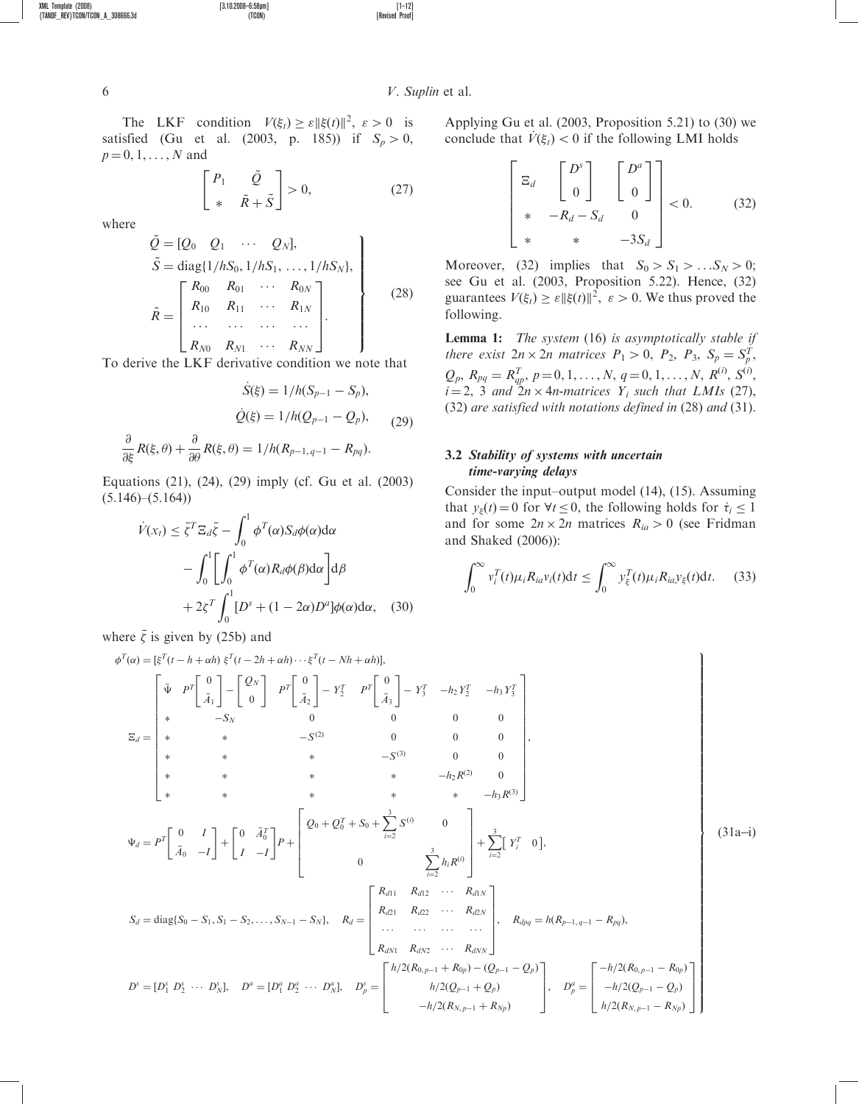6 V. Suplin et al.

The LKF condition  $V(\xi_t) \ge \varepsilon ||\xi(t)||^2$ ,  $\varepsilon > 0$  is satisfied (Gu et al. (2003, p. 185)) if  $S_p > 0$ ,  $p = 0, 1, ..., N$  and

$$
\begin{bmatrix} P_1 & \tilde{Q} \\ * & \tilde{R} + \tilde{S} \end{bmatrix} > 0,\tag{27}
$$

where

$$
\tilde{Q} = [Q_0 \quad Q_1 \quad \cdots \quad Q_N],
$$
\n
$$
\tilde{S} = \text{diag}\{1/hS_0, 1/hS_1, \ldots, 1/hS_N\},
$$
\n
$$
\tilde{R} = \begin{bmatrix}\nR_{00} & R_{01} & \cdots & R_{0N} \\
R_{10} & R_{11} & \cdots & R_{1N} \\
\vdots & \vdots & \ddots & \vdots \\
R_{N0} & R_{N1} & \cdots & R_{NN}\n\end{bmatrix}.
$$
\n(28)

To derive the LKF derivative condition we note that

$$
\dot{S}(\xi) = 1/h(S_{p-1} - S_p),
$$
  

$$
\dot{Q}(\xi) = 1/h(Q_{p-1} - Q_p),
$$
  

$$
\frac{\partial}{\partial \xi}R(\xi, \theta) + \frac{\partial}{\partial \theta}R(\xi, \theta) = 1/h(R_{p-1, q-1} - R_{pq}).
$$
 (29)

Equations (21), (24), (29) imply (cf. Gu et al. (2003)  $(5.146)$ – $(5.164)$ 

$$
\dot{V}(x_t) \leq \bar{\zeta}^T \Xi_d \bar{\zeta} - \int_0^1 \phi^T(\alpha) S_d \phi(\alpha) d\alpha \n- \int_0^1 \left[ \int_0^1 \phi^T(\alpha) R_d \phi(\beta) d\alpha \right] d\beta \n+ 2\zeta^T \int_0^1 [D^s + (1 - 2\alpha) D^a] \phi(\alpha) d\alpha, \quad (30)
$$

where  $\bar{\zeta}$  is given by (25b) and

Applying Gu et al. (2003, Proposition 5.21) to (30) we conclude that  $V(\xi_t) < 0$  if the following LMI holds

$$
\begin{bmatrix} \Xi_d & \begin{bmatrix} D^s \\ 0 \end{bmatrix} & \begin{bmatrix} D^a \\ 0 \end{bmatrix} \\ * & -R_d - S_d & 0 \\ * & * & -3S_d \end{bmatrix} < 0. \tag{32}
$$

Moreover, (32) implies that  $S_0 > S_1 > ... S_N > 0$ ; see Gu et al. (2003, Proposition 5.22). Hence, (32) guarantees  $V(\xi_t) \ge \varepsilon ||\xi(t)||^2$ ,  $\varepsilon > 0$ . We thus proved the following.

**Lemma 1:** The system (16) is asymptotically stable if there exist  $2n \times 2n$  matrices  $P_1 > 0$ ,  $P_2$ ,  $P_3$ ,  $S_p = S_p^T$ ,  $Q_p$ ,  $R_{pq} = R_{qp}^T$ ,  $p = 0, 1, ..., N$ ,  $q = 0, 1, ..., N$ ,  $R^{(i)}$ ,  $S^{(i)}$ ,  $i = 2$ , 3 and  $2n \times 4n$ -matrices  $Y_i$  such that LMIs (27), (32) are satisfied with notations defined in (28) and (31).

# 3.2 Stability of systems with uncertain time-varying delays

Consider the input–output model (14), (15). Assuming that  $y_{\xi}(t) = 0$  for  $\forall t \leq 0$ , the following holds for  $\dot{\tau}_i \leq 1$ and for some  $2n \times 2n$  matrices  $R_{ia} > 0$  (see Fridman and Shaked (2006)):

$$
\int_0^\infty v_i^T(t)\mu_i R_{ia}v_i(t)dt \le \int_0^\infty v_\xi^T(t)\mu_i R_{ia}v_\xi(t)dt. \tag{33}
$$

$$
\phi^{T}(\alpha) = \left[ \xi^{T} (t - h + \alpha h) \xi^{T} (t - 2h + \alpha h) \cdots \xi^{T} (t - Nh + \alpha h) \right],
$$
\n
$$
\Xi_{d} = \begin{bmatrix}\n\tilde{\Psi} & P^{T} \begin{bmatrix} 0 \\ \tilde{A}_{1} \end{bmatrix} - \begin{bmatrix} Q_{N} \\ 0 \end{bmatrix} & P^{T} \begin{bmatrix} 0 \\ \tilde{A}_{2} \end{bmatrix} - Y_{2}^{T} & P^{T} \begin{bmatrix} 0 \\ \tilde{A}_{3} \end{bmatrix} - Y_{3}^{T} & -h_{2} Y_{2}^{T} & -h_{3} Y_{3}^{T} \\
* & -S_{N} & 0 & 0 & 0 \\
* & * & -S^{(2)} & 0 & 0 & 0 \\
* & * & * & -h_{2} R^{(2)} & 0 \\
* & * & * & * & -h_{2} R^{(3)} & 0 \\
* & * & * & * & -h_{3} R^{(3)}\end{bmatrix},
$$
\n
$$
\Psi_{d} = P^{T} \begin{bmatrix} 0 & I \\ \tilde{A}_{0} & -I \end{bmatrix} + \begin{bmatrix} 0 & \tilde{A}_{0}^{T} \\ I & -I \end{bmatrix} P + \begin{bmatrix} Q_{0} + Q_{0}^{T} + S_{0} + \sum_{i=2}^{3} S^{(i)} & 0 \\ 0 & \sum_{i=2}^{3} h_{i} R^{(i)} \end{bmatrix} + \sum_{i=2}^{3} \begin{bmatrix} Y_{i}^{T} & 0 \end{bmatrix},
$$
\n
$$
S_{d} = \text{diag}\{S_{0} - S_{1}, S_{1} - S_{2}, \dots, S_{N-1} - S_{N}\}, \quad R_{d} = \begin{bmatrix} R_{d11} & R_{d12} & \cdots & R_{d1N} \\ R_{d21} & R_{d22} & \cdots & R_{d2N} \\ \vdots & \vdots & \ddots & \vdots \\ R_{dN1} & R_{dN2} & \cdots & R_{dNN} \\ R_{dN1} & R_{dN2} & \cdots & R_{dNN} \end{bmatrix}, \quad R_{d} \rho_{q} = h(R_{p-1,q-1} - R_{pq}),
$$
\n
$$
D^{s} = [D_{1}
$$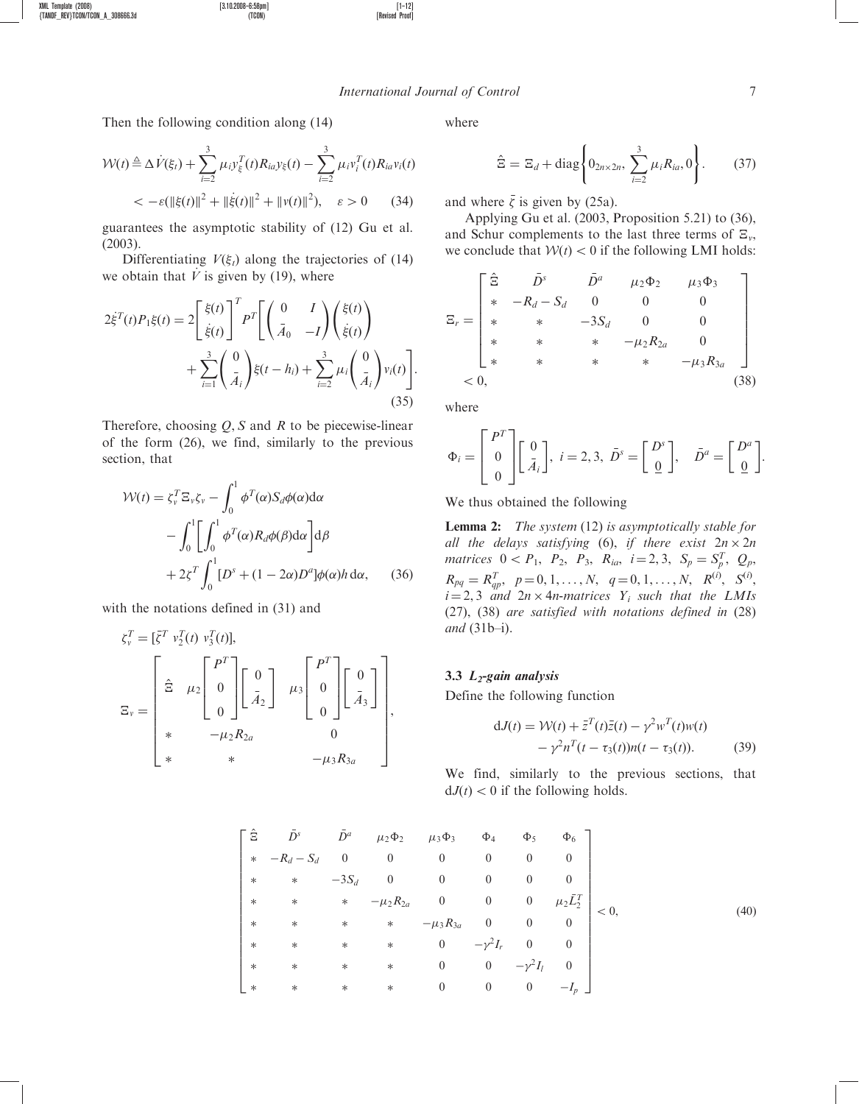#### International Journal of Control 7

Then the following condition along (14)

XML Template (2008) [3.10.2008–6:58pm] [1–12]

 ${ \{TANDF\_REV\} \}$   $TCON/ \text{CON}$   $\_\text{A}\_308666.3d$ 

$$
\mathcal{W}(t) \triangleq \Delta \dot{V}(\xi_t) + \sum_{i=2}^{3} \mu_i y_i^T(t) R_{ia} y_{\xi}(t) - \sum_{i=2}^{3} \mu_i y_i^T(t) R_{ia} y_i(t)
$$
  
< 
$$
< -\varepsilon (\|\xi(t)\|^2 + \|\dot{\xi}(t)\|^2 + \|\nu(t)\|^2), \quad \varepsilon > 0 \qquad (34)
$$

guarantees the asymptotic stability of (12) Gu et al. (2003).

Differentiating  $V(\xi_t)$  along the trajectories of (14) we obtain that  $\dot{V}$  is given by (19), where

$$
2\dot{\xi}^{T}(t)P_{1}\xi(t) = 2\left[\frac{\xi(t)}{\dot{\xi}(t)}\right]^{T}P^{T}\left[\begin{pmatrix} 0 & I \\ \bar{A}_{0} & -I \end{pmatrix}\begin{pmatrix} \xi(t) \\ \dot{\xi}(t) \end{pmatrix} + \sum_{i=1}^{3} \begin{pmatrix} 0 \\ \bar{A}_{i} \end{pmatrix}\xi(t-h_{i}) + \sum_{i=2}^{3} \mu_{i}\begin{pmatrix} 0 \\ \bar{A}_{i} \end{pmatrix}v_{i}(t)\right].
$$
\n(35)

Therefore, choosing  $Q$ , S and R to be piecewise-linear of the form (26), we find, similarly to the previous section, that

$$
\mathcal{W}(t) = \zeta_v^T \Xi_v \zeta_v - \int_0^1 \phi^T(\alpha) S_d \phi(\alpha) d\alpha \n- \int_0^1 \left[ \int_0^1 \phi^T(\alpha) R_d \phi(\beta) d\alpha \right] d\beta \n+ 2\zeta^T \int_0^1 [D^s + (1 - 2\alpha) D^a] \phi(\alpha) h d\alpha, \quad (36)
$$

with the notations defined in (31) and

$$
\zeta_v^T = [\bar{\zeta}^T v_2^T(t) v_3^T(t)],
$$
\n
$$
\Xi_v = \begin{bmatrix} \hat{\Xi} & \mu_2 \begin{bmatrix} P^T \\ 0 \\ 0 \end{bmatrix} & \begin{bmatrix} 0 \\ \bar{A}_2 \end{bmatrix} & \mu_3 \begin{bmatrix} P^T \\ 0 \\ 0 \end{bmatrix} & \begin{bmatrix} 0 \\ \bar{A}_3 \end{bmatrix} \\ * & -\mu_2 R_{2a} & 0 \\ * & * & -\mu_3 R_{3a} \end{bmatrix},
$$

where

$$
\hat{\Xi} = \Xi_d + \text{diag}\left\{0_{2n \times 2n}, \sum_{i=2}^{3} \mu_i R_{ia}, 0\right\}.
$$
 (37)

and where  $\bar{\zeta}$  is given by (25a).

Applying Gu et al. (2003, Proposition 5.21) to (36), and Schur complements to the last three terms of  $\Xi_{\nu}$ , we conclude that  $W(t) < 0$  if the following LMI holds:

$$
\Xi_{r} = \begin{bmatrix} \hat{\Xi} & \bar{D}^{s} & \bar{D}^{a} & \mu_{2} \Phi_{2} & \mu_{3} \Phi_{3} \\ * & -R_{d} - S_{d} & 0 & 0 & 0 \\ * & * & -3S_{d} & 0 & 0 \\ * & * & * & -\mu_{2} R_{2a} & 0 \\ * & * & * & * & -\mu_{3} R_{3a} \end{bmatrix}
$$
  
< 0, (38)

where

$$
\Phi_i = \begin{bmatrix} P^T \\ 0 \\ 0 \end{bmatrix} \begin{bmatrix} 0 \\ \bar{A}_i \end{bmatrix}, i = 2, 3, \ \bar{D}^s = \begin{bmatrix} D^s \\ 0 \end{bmatrix}, \quad \bar{D}^a = \begin{bmatrix} D^a \\ 0 \end{bmatrix}.
$$

We thus obtained the following

Lemma 2: The system (12) is asymptotically stable for all the delays satisfying (6), if there exist  $2n \times 2n$ matrices  $0 < P_1$ ,  $P_2$ ,  $P_3$ ,  $R_{ia}$ ,  $i = 2, 3$ ,  $S_p = S_p^T$ ,  $Q_p$ ,  $R_{pq} = R_{qp}^T$ ,  $p = 0, 1, ..., N$ ,  $q = 0, 1, ..., N$ ,  $R^{(i)}$ ,  $S^{(i)}$ ,  $i = 2, 3$  and  $2n \times 4n$ -matrices  $Y_i$  such that the LMIs (27), (38) are satisfied with notations defined in (28) and (31b–i).

### 3.3  $L_2$ -gain analysis

Define the following function

$$
dJ(t) = \mathcal{W}(t) + \bar{z}^T(t)\bar{z}(t) - \gamma^2 w^T(t)w(t)
$$

$$
-\gamma^2 n^T(t - \tau_3(t))n(t - \tau_3(t)).
$$
 (39)

We find, similarly to the previous sections, that  $dJ(t) < 0$  if the following holds.

$$
\begin{bmatrix}\n\hat{\Xi} & \bar{D}^{s} & \bar{D}^{a} & \mu_{2}\Phi_{2} & \mu_{3}\Phi_{3} & \Phi_{4} & \Phi_{5} & \Phi_{6} \\
* & -R_{d} - S_{d} & 0 & 0 & 0 & 0 & 0 & 0 \\
* & * & -3S_{d} & 0 & 0 & 0 & 0 & 0 \\
* & * & * & -\mu_{2}R_{2a} & 0 & 0 & 0 & \mu_{2}\bar{L}_{2}^{T} \\
* & * & * & * & -\mu_{3}R_{3a} & 0 & 0 & 0 \\
* & * & * & * & 0 & -\gamma^{2}I_{r} & 0 & 0 \\
* & * & * & * & 0 & 0 & -\gamma^{2}I_{l} & 0 \\
* & * & * & * & * & 0 & 0 & -I_{p}\n\end{bmatrix}
$$
\n(40)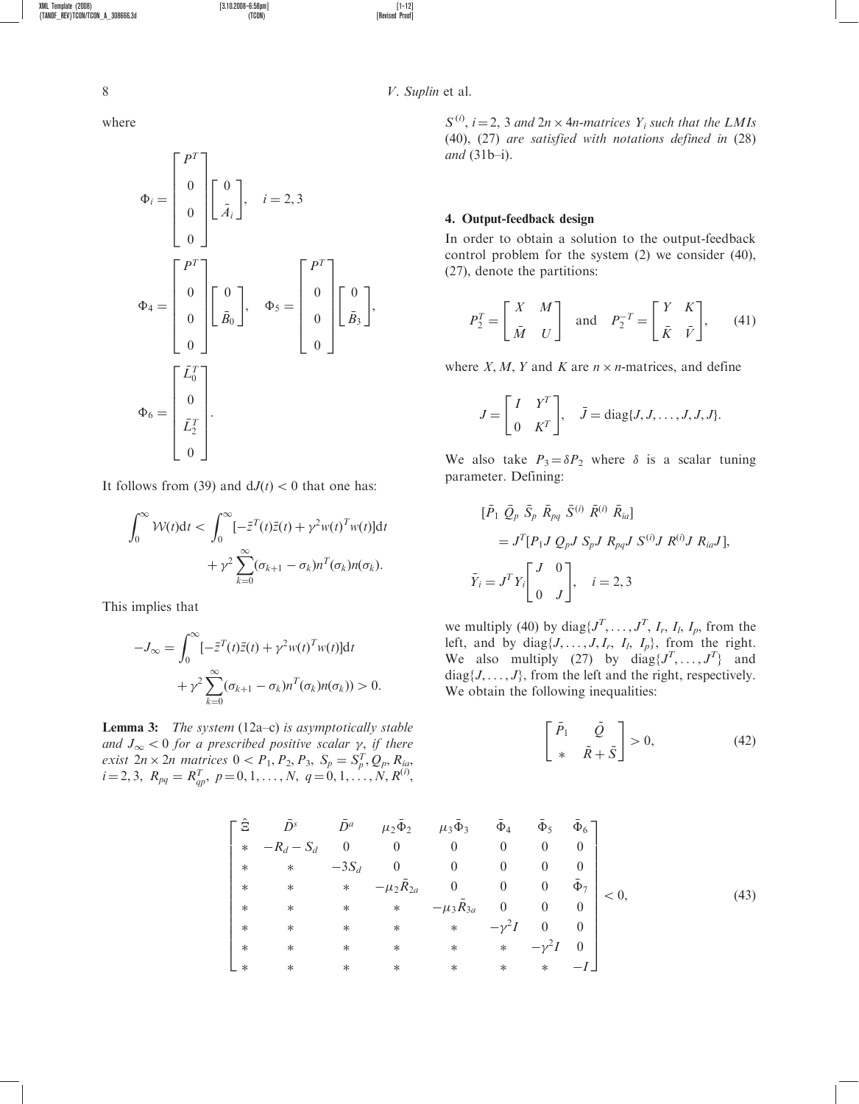W<sub>i</sub>

$$
\Phi_{i} = \begin{bmatrix} P^{T} \\ 0 \\ 0 \\ 0 \end{bmatrix} \begin{bmatrix} 0 \\ \bar{A}_{i} \end{bmatrix}, \quad i = 2, 3
$$

$$
\Phi_{4} = \begin{bmatrix} P^{T} \\ 0 \\ 0 \\ 0 \end{bmatrix} \begin{bmatrix} 0 \\ \bar{B}_{0} \end{bmatrix}, \quad \Phi_{5} = \begin{bmatrix} P^{T} \\ 0 \\ 0 \\ 0 \end{bmatrix} \begin{bmatrix} 0 \\ \bar{B}_{3} \end{bmatrix},
$$

$$
\Phi_{6} = \begin{bmatrix} \bar{L}_{0}^{T} \\ 0 \\ \bar{L}_{2}^{T} \\ 0 \end{bmatrix}.
$$

It follows from (39) and  $dJ(t) < 0$  that one has:

$$
\int_0^\infty \mathcal{W}(t) \mathrm{d}t < \int_0^\infty [-\bar{z}^T(t)\bar{z}(t) + \gamma^2 w(t)^T w(t)] \mathrm{d}t
$$
\n
$$
+ \gamma^2 \sum_{k=0}^\infty (\sigma_{k+1} - \sigma_k) n^T(\sigma_k) n(\sigma_k).
$$

This implies that

$$
-J_{\infty} = \int_0^{\infty} [-\bar{z}^T(t)\bar{z}(t) + \gamma^2 w(t)^T w(t)]dt
$$

$$
+ \gamma^2 \sum_{k=0}^{\infty} (\sigma_{k+1} - \sigma_k) n^T(\sigma_k) n(\sigma_k)) > 0.
$$

**Lemma 3:** The system  $(12a-c)$  is asymptotically stable and  $J_{\infty}$  < 0 for a prescribed positive scalar  $\gamma$ , if there exist  $2n \times 2n$  matrices  $0 < P_1, P_2, P_3, S_p = S_p^T, Q_p, R_{iq}$ ,  $i = 2, 3, R_{pq} = R_{qp}^T, p = 0, 1, \ldots, N, q = 0, 1, \ldots, N, R^{(i)},$ 

8 V. Suplin et al.

 $S^{(i)}$ ,  $i = 2$ , 3 and  $2n \times 4n$ -matrices  $Y_i$  such that the LMIs (40), (27) are satisfied with notations defined in (28) and (31b–i).

### 4. Output-feedback design

In order to obtain a solution to the output-feedback control problem for the system (2) we consider (40), (27), denote the partitions:

$$
P_2^T = \begin{bmatrix} X & M \\ \bar{M} & U \end{bmatrix} \text{ and } P_2^{-T} = \begin{bmatrix} Y & K \\ \bar{K} & \bar{V} \end{bmatrix}, \qquad (41)
$$

where X, M, Y and K are  $n \times n$ -matrices, and define

$$
J = \begin{bmatrix} I & Y^T \\ 0 & K^T \end{bmatrix}, \quad \bar{J} = \text{diag}\{J, J, \dots, J, J, J\}.
$$

We also take  $P_3 = \delta P_2$  where  $\delta$  is a scalar tuning parameter. Defining:

$$
\begin{aligned} [\bar{P}_1 \ \bar{Q}_p \ \bar{S}_p \ \bar{R}_{pq} \ \bar{S}^{(i)} \ \bar{R}^{(i)} \ \bar{R}_{ia}] \\ &= J^T [P_1 J \ Q_p J \ S_p J \ R_{pq} J \ S^{(i)} J \ R^{(i)} J \ R_{ia} J], \\ \bar{Y}_i &= J^T Y_i \begin{bmatrix} J & 0 \\ 0 & J \end{bmatrix}, \quad i = 2, 3 \end{aligned}
$$

we multiply (40) by diag $\{J^T, \ldots, J^T, I_r, I_l, I_p, \text{ from the} \}$ left, and by diag $\{J, \ldots, J, I_r, I_l, I_p\}$ , from the right. We also multiply (27) by  $diag\{J^T, \ldots, J^T\}$  and  $diag{J, \ldots, J}$ , from the left and the right, respectively. We obtain the following inequalities:

$$
\begin{bmatrix} \bar{P}_1 & \tilde{Q} \\ * & \tilde{R} + \tilde{S} \end{bmatrix} > 0,\tag{42}
$$

$$
\begin{bmatrix}\n\hat{\Xi} & \bar{D}^{s} & \bar{D}^{a} & \mu_{2}\bar{\Phi}_{2} & \mu_{3}\bar{\Phi}_{3} & \bar{\Phi}_{4} & \bar{\Phi}_{5} & \bar{\Phi}_{6} \\
* & -R_{d} - S_{d} & 0 & 0 & 0 & 0 & 0 & 0 \\
* & * & -3S_{d} & 0 & 0 & 0 & 0 & 0 \\
* & * & * & -\mu_{2}\bar{R}_{2a} & 0 & 0 & 0 & \bar{\Phi}_{7} \\
* & * & * & * & -\mu_{3}\bar{R}_{3a} & 0 & 0 & 0 \\
* & * & * & * & * & -\gamma^{2}I & 0 & 0 \\
* & * & * & * & * & * & -\gamma^{2}I & 0\n\end{bmatrix} < 0,
$$
\n(43)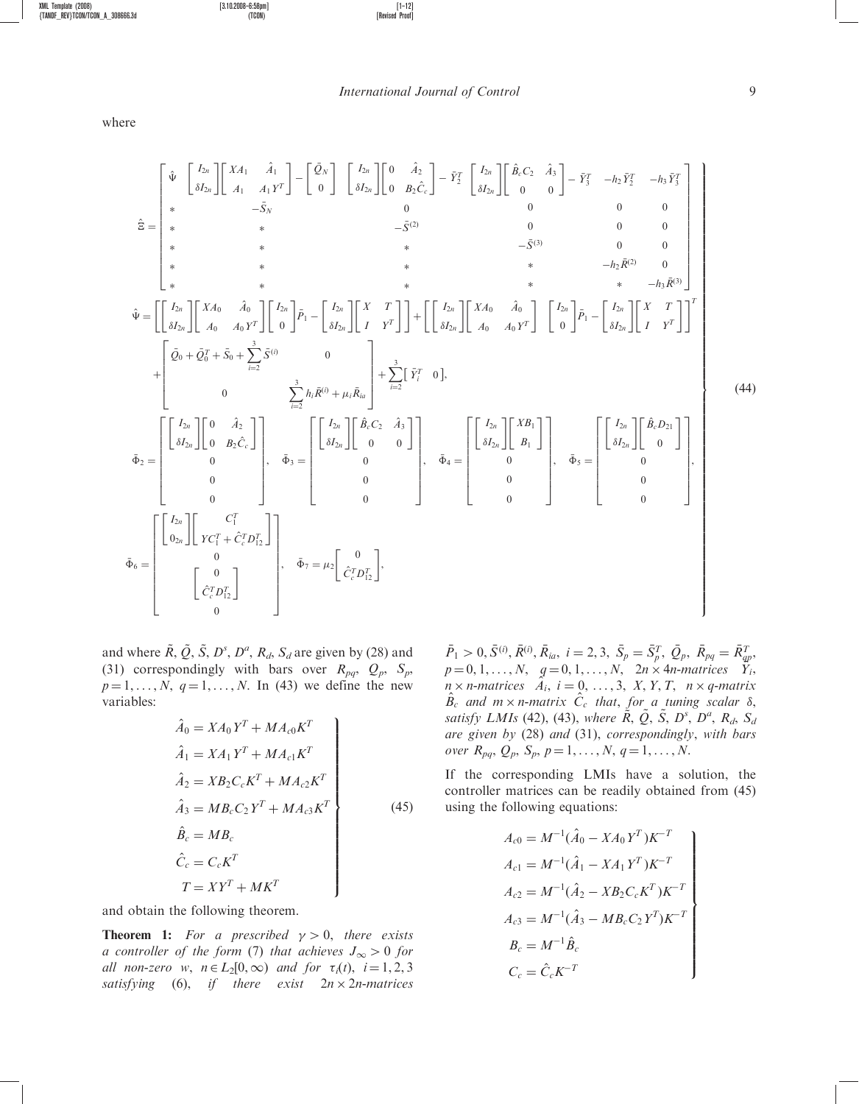International Journal of Control 9

$$
\hat{\Sigma} = \begin{bmatrix}\n\hat{\Psi} & \begin{bmatrix} I_{2n} \\ \delta I_{2n} \end{bmatrix} \begin{bmatrix} XA_1 & \hat{A}_1 \\ A_1 & A_1 Y^T \end{bmatrix} - \begin{bmatrix} \tilde{Q}_N \\ 0 \end{bmatrix} & \begin{bmatrix} I_{2n} \\ \delta I_{2n} \end{bmatrix} \begin{bmatrix} 0 & \hat{A}_2 \\ 0 & B_2 \hat{C}_c \end{bmatrix} - \tilde{Y}_2^T & \begin{bmatrix} I_{2n} \\ \delta I_{2n} \end{bmatrix} \begin{bmatrix} \hat{B}_c C_2 & \hat{A}_3 \\ 0 & 0 \end{bmatrix} - \tilde{Y}_3^T & -h_2 \tilde{Y}_2^T & -h_3 \tilde{Y}_3^T \\
+ & \hat{S} = \begin{bmatrix}\n\hat{\ast} & \hat{\ast} & \hat{\ast} & \hat{\ast} \\
\hat{\ast} & \hat{\ast} & \hat{\ast} & \hat{\ast} \\
\hat{\ast} & \hat{\ast} & \hat{\ast} & \hat{\ast} \\
\hat{\ast} & \hat{\ast} & \hat{\ast} & \hat{\ast} \\
\hat{\ast} & \hat{\ast} & \hat{\ast} & \hat{\ast} \\
\hat{\ast} & \hat{\ast} & \hat{\ast} & \hat{\ast} \\
\hat{\ast} & \hat{\ast} & \hat{\ast} & -h_2 \tilde{R}^{(2)} & 0 \\
\hat{\ast} & \hat{\ast} & \hat{\ast} & -h_3 \tilde{R}^{(3)}\n\end{bmatrix}
$$
\n
$$
\hat{\Psi} = \begin{bmatrix} I_{2n} \\ \delta I_{2n} \end{bmatrix} \begin{bmatrix} XA_0 & \hat{A}_0 \\ A_0 & A_0 Y^T \end{bmatrix} \begin{bmatrix} I_{2n} \\ 0 \end{bmatrix} \tilde{P}_1 - \begin{bmatrix} I_{2n} \\ \delta I_{2n} \end{bmatrix} \begin{bmatrix} X & T \\ I & Y^T \end{bmatrix} \end{bmatrix} + \begin{bmatrix} \begin{bmatrix} I_{2n} \\ \delta I_{2n} \end{bmatrix} \begin{bmatrix} XA_0 & \hat{A}_0 \\ A_0 & A_0 Y^T \end{bmatrix} \begin{bmatrix} I_{2n} \\ 0 \end{bmatrix} \begin{bmatrix} \tilde{A}_1 \\ \til
$$

and where  $\tilde{R}, \tilde{Q}, \tilde{S}, D^s, D^a, R_d, S_d$  are given by (28) and (31) correspondingly with bars over  $R_{pq}$ ,  $Q_p$ ,  $S_p$ ,  $p = 1, ..., N, q = 1, ..., N$ . In (43) we define the new variables:

$$
\hat{A}_0 = X A_0 Y^T + M A_{c0} K^T
$$
\n
$$
\hat{A}_1 = X A_1 Y^T + M A_{c1} K^T
$$
\n
$$
\hat{A}_2 = X B_2 C_c K^T + M A_{c2} K^T
$$
\n
$$
\hat{A}_3 = M B_c C_2 Y^T + M A_{c3} K^T
$$
\n
$$
\hat{B}_c = M B_c
$$
\n
$$
\hat{C}_c = C_c K^T
$$
\n
$$
T = X Y^T + M K^T
$$
\n(45)

and obtain the following theorem.

**Theorem 1:** For a prescribed  $\gamma > 0$ , there exists a controller of the form (7) that achieves  $J_{\infty} > 0$  for all non-zero w,  $n \in L_2[0,\infty)$  and for  $\tau_i(t)$ ,  $i = 1, 2, 3$ satisfying (6), if there exist  $2n \times 2n$ -matrices

 $\bar{P}_1 > 0, \bar{S}^{(i)}, \bar{R}^{(i)}, \bar{R}_{ia}, i = 2, 3, \ \bar{S}_p = \bar{S}_p^T, \ \bar{Q}_p, \ \bar{R}_{pq} = \bar{R}_{qp}^T,$  $p = 0, 1, \ldots, N, \quad q = 0, 1, \ldots, N, \quad 2n \times 4n$ -matrices  $Y_i$ ,  $\widehat{n} \times n$ -matrices  $\widehat{A}_i$ ,  $i = 0, \ldots, 3, X, Y, T, n \times q$ -matrix  $\hat{B}_c$  and  $m \times n$ -matrix  $\hat{C}_c$  that, for a tuning scalar  $\delta$ , satisfy LMIs (42), (43), where  $\tilde{R}, \tilde{Q}, \tilde{S}, D^s, D^a, R_d, S_d$ are given by (28) and (31), correspondingly, with bars over  $R_{pq}, Q_p, S_p, p = 1, ..., N, q = 1, ..., N$ .

If the corresponding LMIs have a solution, the controller matrices can be readily obtained from (45) using the following equations:

$$
A_{c0} = M^{-1}(\hat{A}_0 - XA_0Y^T)K^{-T}
$$
  
\n
$$
A_{c1} = M^{-1}(\hat{A}_1 - XA_1Y^T)K^{-T}
$$
  
\n
$$
A_{c2} = M^{-1}(\hat{A}_2 - XB_2C_cK^T)K^{-T}
$$
  
\n
$$
A_{c3} = M^{-1}(\hat{A}_3 - MB_cC_2Y^T)K^{-T}
$$
  
\n
$$
B_c = M^{-1}\hat{B}_c
$$
  
\n
$$
C_c = \hat{C}_cK^{-T}
$$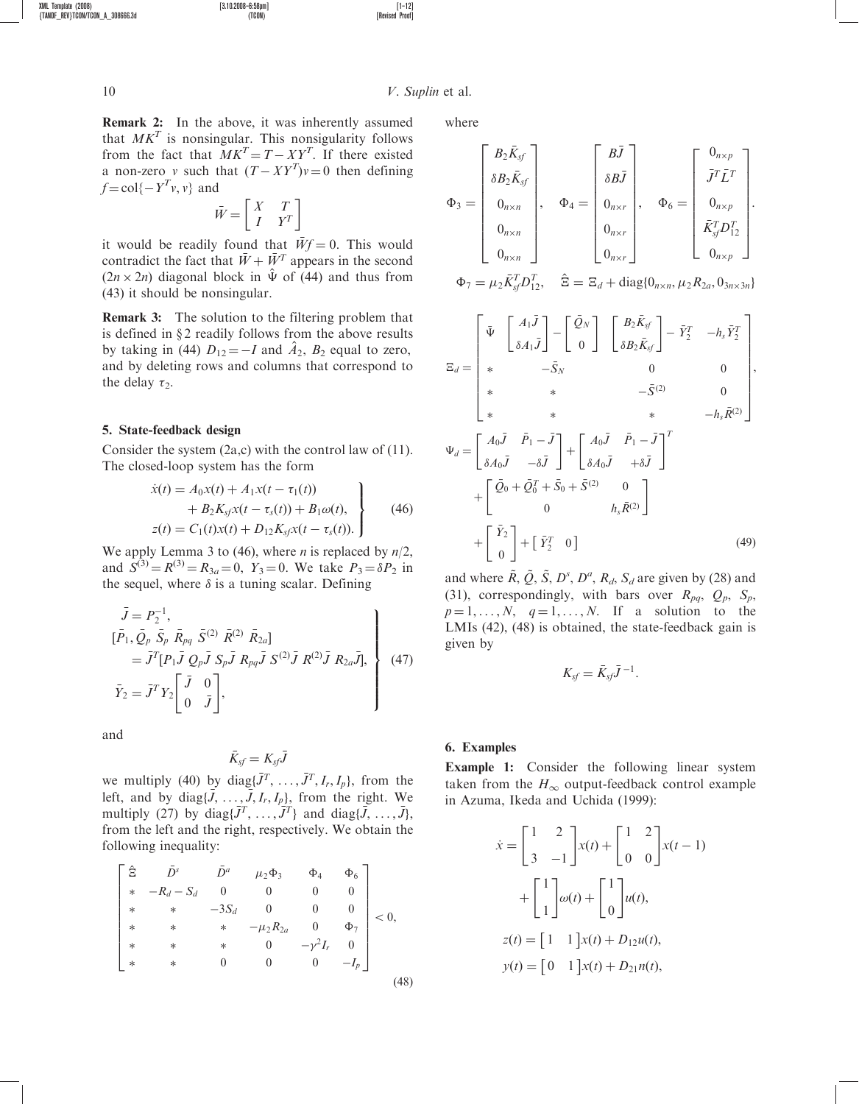Remark 2: In the above, it was inherently assumed that  $MK<sup>T</sup>$  is nonsingular. This nonsigularity follows from the fact that  $MK<sup>T</sup> = T - XY<sup>T</sup>$ . If there existed a non-zero v such that  $(T - XY^T)v = 0$  then defining  $f = \text{col}\{-Y^T v, v\}$  and

XML Template (2008) [3.10.2008–6:58pm] [1–12]

$$
\bar{W} = \begin{bmatrix} X & T \\ I & Y^T \end{bmatrix}
$$

it would be readily found that  $\bar{W}f = 0$ . This would contradict the fact that  $\bar{W} + \bar{W}^T$  appears in the second  $(2n \times 2n)$  diagonal block in  $\hat{\Psi}$  of (44) and thus from (43) it should be nonsingular.

Remark 3: The solution to the filtering problem that is defined in  $\S 2$  readily follows from the above results by taking in (44)  $D_{12} = -I$  and  $A_2$ ,  $B_2$  equal to zero, and by deleting rows and columns that correspond to the delay  $\tau_2$ .

#### 5. State-feedback design

Consider the system (2a,c) with the control law of (11). The closed-loop system has the form

$$
\dot{x}(t) = A_0 x(t) + A_1 x(t - \tau_1(t)) \n+ B_2 K_{sf} x(t - \tau_s(t)) + B_1 \omega(t), \nz(t) = C_1(t) x(t) + D_{12} K_{sf} x(t - \tau_s(t)).
$$
\n(46)

We apply Lemma 3 to (46), where *n* is replaced by  $n/2$ , and  $S^{(3)} = R^{(3)} = R_{3a} = 0$ ,  $Y_3 = 0$ . We take  $P_3 = \delta P_2$  in the sequel, where  $\delta$  is a tuning scalar. Defining

$$
\bar{J} = P_2^{-1},
$$
\n
$$
[\bar{P}_1, \bar{Q}_p \bar{S}_p \bar{R}_{pq} \bar{S}^{(2)} \bar{R}^{(2)} \bar{R}_{2a}]
$$
\n
$$
= \bar{J}^T [P_1 \bar{J} Q_p \bar{J} S_p \bar{J} R_{pq} \bar{J} S^{(2)} \bar{J} R^{(2)} \bar{J} R_{2a} \bar{J}],
$$
\n
$$
\bar{Y}_2 = \bar{J}^T Y_2 \begin{bmatrix} \bar{J} & 0 \\ 0 & \bar{J} \end{bmatrix},
$$
\n(47)

and

$$
\bar{K}_{\text{sf}} = K_{\text{sf}} \bar{J}
$$

we multiply (40) by diag $\{\bar{J}^T, \ldots, \bar{J}^T, I_r, I_p\}$ , from the left, and by diag $\{\bar{J}, \ldots, \bar{J}, I_r, I_p\}$ , from the right. We multiply (27) by diag $\{\bar{J}^T, \ldots, \bar{J}^T\}$  and diag $\{\bar{J}, \ldots, \bar{J}\}$ , from the left and the right, respectively. We obtain the following inequality:

$$
\begin{bmatrix}\n\hat{\Xi} & \bar{D}^s & \bar{D}^a & \mu_2 \Phi_3 & \Phi_4 & \Phi_6 \\
* & -R_d - S_d & 0 & 0 & 0 & 0 \\
* & * & -3S_d & 0 & 0 & 0 \\
* & * & * & -\mu_2 R_{2a} & 0 & \Phi_7 \\
* & * & * & 0 & -\gamma^2 I_r & 0 \\
* & * & 0 & 0 & 0 & -I_p\n\end{bmatrix} < 0,
$$
\n(48)

where

$$
\Phi_3 = \begin{bmatrix} B_2 \bar{K}_{sf} \\ \delta B_2 \bar{K}_{sf} \\ 0_{n \times n} \\ 0_{n \times n} \\ 0_{n \times n} \end{bmatrix}, \quad \Phi_4 = \begin{bmatrix} B\bar{J} \\ \delta B\bar{J} \\ 0_{n \times r} \\ 0_{n \times r} \\ 0_{n \times r} \end{bmatrix}, \quad \Phi_6 = \begin{bmatrix} 0_{n \times p} \\ \bar{J}^T \bar{L}^T \\ 0_{n \times p} \\ \bar{K}_{sf}^T D_{12}^T \\ 0_{n \times p} \end{bmatrix}.
$$

 $\Phi_7 = \mu_2 \bar{K}_{\text{sf}}^T D_{12}^T$ ,  $\hat{\Xi} = \Xi_d + \text{diag}\{0_{n \times n}, \mu_2 R_{2a}, 0_{3n \times 3n}\}$ 

$$
\Xi_d = \begin{bmatrix} \bar{\Psi} & A_1 \bar{J} \\ \bar{\delta} A_1 \bar{J} \end{bmatrix} - \begin{bmatrix} \bar{Q}_N \\ 0 \end{bmatrix} \begin{bmatrix} B_2 \bar{K}_{sf} \\ \delta B_2 \bar{K}_{sf} \end{bmatrix} - \bar{Y}_2^T - h_s \bar{Y}_2^T \\ * & -\bar{S}_N & 0 & 0 \\ * & * & -\bar{S}^{(2)} & 0 \\ * & * & * & -h_s \bar{R}^{(2)} \end{bmatrix},
$$
  

$$
\Psi_d = \begin{bmatrix} A_0 \bar{J} & \bar{P}_1 - \bar{J} \\ \delta A_0 \bar{J} & -\delta \bar{J} \end{bmatrix} + \begin{bmatrix} A_0 \bar{J} & \bar{P}_1 - \bar{J} \\ \delta A_0 \bar{J} & +\delta \bar{J} \end{bmatrix}^T + \begin{bmatrix} \bar{Q}_0 + \bar{Q}_0^T + \bar{S}_0 + \bar{S}^{(2)} & 0 \\ 0 & h_s \bar{R}^{(2)} \end{bmatrix} + \begin{bmatrix} \bar{Y}_2 \\ 0 \end{bmatrix} + \begin{bmatrix} \bar{Y}_2 \\ 0 \end{bmatrix} + \begin{bmatrix} \bar{Y}_2^T & 0 \end{bmatrix}
$$
(49)

and where  $\tilde{R}, \tilde{Q}, \tilde{S}, D^s, D^a, R_d, S_d$  are given by (28) and (31), correspondingly, with bars over  $R_{pq}$ ,  $Q_p$ ,  $S_p$ ,  $p = 1, \ldots, N, q = 1, \ldots, N$ . If a solution to the LMIs (42), (48) is obtained, the state-feedback gain is given by

$$
K_{sf} = \bar{K}_{sf} \bar{J}^{-1}.
$$

### 6. Examples

Example 1: Consider the following linear system taken from the  $H_{\infty}$  output-feedback control example in Azuma, Ikeda and Uchida (1999):

$$
\dot{x} = \begin{bmatrix} 1 & 2 \\ 3 & -1 \end{bmatrix} x(t) + \begin{bmatrix} 1 & 2 \\ 0 & 0 \end{bmatrix} x(t-1)
$$

$$
+ \begin{bmatrix} 1 \\ 1 \end{bmatrix} \omega(t) + \begin{bmatrix} 1 \\ 0 \end{bmatrix} u(t),
$$

$$
z(t) = \begin{bmatrix} 1 & 1 \end{bmatrix} x(t) + D_{12}u(t),
$$

$$
y(t) = \begin{bmatrix} 0 & 1 \end{bmatrix} x(t) + D_{21}u(t),
$$

 ${f}$ TANDF\_REV}TCON/TCON\_A\_308666.3d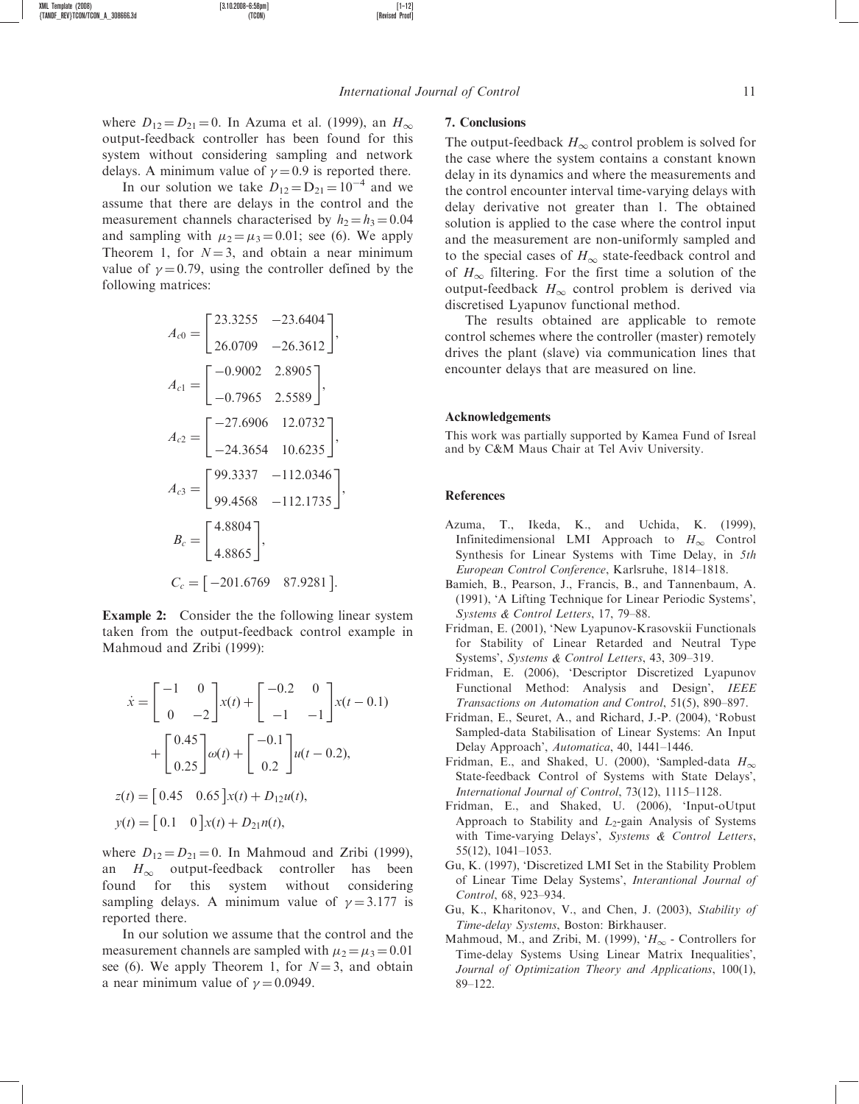where  $D_{12} = D_{21} = 0$ . In Azuma et al. (1999), an  $H_{\infty}$ output-feedback controller has been found for this system without considering sampling and network delays. A minimum value of  $\gamma = 0.9$  is reported there.

In our solution we take  $D_{12} = D_{21} = 10^{-4}$  and we assume that there are delays in the control and the measurement channels characterised by  $h_2 = h_3 = 0.04$ and sampling with  $\mu_2 = \mu_3 = 0.01$ ; see (6). We apply Theorem 1, for  $N = 3$ , and obtain a near minimum value of  $\gamma = 0.79$ , using the controller defined by the following matrices:

$$
A_{c0} = \begin{bmatrix} 23.3255 & -23.6404 \\ 26.0709 & -26.3612 \end{bmatrix},
$$
  
\n
$$
A_{c1} = \begin{bmatrix} -0.9002 & 2.8905 \\ -0.7965 & 2.5589 \end{bmatrix},
$$
  
\n
$$
A_{c2} = \begin{bmatrix} -27.6906 & 12.0732 \\ -24.3654 & 10.6235 \end{bmatrix},
$$
  
\n
$$
A_{c3} = \begin{bmatrix} 99.3337 & -112.0346 \\ 99.4568 & -112.1735 \end{bmatrix},
$$
  
\n
$$
B_c = \begin{bmatrix} 4.8804 \\ 4.8865 \end{bmatrix},
$$
  
\n
$$
C_c = \begin{bmatrix} -201.6769 & 87.9281 \end{bmatrix}.
$$

Example 2: Consider the the following linear system taken from the output-feedback control example in Mahmoud and Zribi (1999):

$$
\dot{x} = \begin{bmatrix} -1 & 0 \\ 0 & -2 \end{bmatrix} x(t) + \begin{bmatrix} -0.2 & 0 \\ -1 & -1 \end{bmatrix} x(t - 0.1)
$$

$$
+ \begin{bmatrix} 0.45 \\ 0.25 \end{bmatrix} \omega(t) + \begin{bmatrix} -0.1 \\ 0.2 \end{bmatrix} u(t - 0.2),
$$

$$
z(t) = \begin{bmatrix} 0.45 & 0.65 \end{bmatrix} x(t) + D_{12} u(t),
$$

$$
y(t) = \begin{bmatrix} 0.1 & 0 \end{bmatrix} x(t) + D_{21} n(t),
$$

where  $D_{12} = D_{21} = 0$ . In Mahmoud and Zribi (1999), an  $H_{\infty}$  output-feedback controller has been found for this system without considering sampling delays. A minimum value of  $\gamma = 3.177$  is reported there.

In our solution we assume that the control and the measurement channels are sampled with  $\mu_2 = \mu_3 = 0.01$ see (6). We apply Theorem 1, for  $N=3$ , and obtain a near minimum value of  $\gamma = 0.0949$ .

### 7. Conclusions

The output-feedback  $H_{\infty}$  control problem is solved for the case where the system contains a constant known delay in its dynamics and where the measurements and the control encounter interval time-varying delays with delay derivative not greater than 1. The obtained solution is applied to the case where the control input and the measurement are non-uniformly sampled and to the special cases of  $H_{\infty}$  state-feedback control and of  $H_{\infty}$  filtering. For the first time a solution of the output-feedback  $H_{\infty}$  control problem is derived via discretised Lyapunov functional method.

The results obtained are applicable to remote control schemes where the controller (master) remotely drives the plant (slave) via communication lines that encounter delays that are measured on line.

#### Acknowledgements

This work was partially supported by Kamea Fund of Isreal and by C&M Maus Chair at Tel Aviv University.

#### References

- Azuma, T., Ikeda, K., and Uchida, K. (1999), Infinitedimensional LMI Approach to  $H_{\infty}$  Control Synthesis for Linear Systems with Time Delay, in 5th European Control Conference, Karlsruhe, 1814–1818.
- Bamieh, B., Pearson, J., Francis, B., and Tannenbaum, A. (1991), 'A Lifting Technique for Linear Periodic Systems', Systems & Control Letters, 17, 79–88.
- Fridman, E. (2001), 'New Lyapunov-Krasovskii Functionals for Stability of Linear Retarded and Neutral Type Systems', Systems & Control Letters, 43, 309–319.
- Fridman, E. (2006), 'Descriptor Discretized Lyapunov Functional Method: Analysis and Design', IEEE Transactions on Automation and Control, 51(5), 890–897.
- Fridman, E., Seuret, A., and Richard, J.-P. (2004), 'Robust Sampled-data Stabilisation of Linear Systems: An Input Delay Approach', Automatica, 40, 1441–1446.
- Fridman, E., and Shaked, U. (2000), 'Sampled-data  $H_{\infty}$ State-feedback Control of Systems with State Delays', International Journal of Control, 73(12), 1115–1128.
- Fridman, E., and Shaked, U. (2006), 'Input-oUtput Approach to Stability and  $L_2$ -gain Analysis of Systems with Time-varying Delays', Systems & Control Letters, 55(12), 1041–1053.
- Gu, K. (1997), 'Discretized LMI Set in the Stability Problem of Linear Time Delay Systems', Interantional Journal of Control, 68, 923–934.
- Gu, K., Kharitonov, V., and Chen, J. (2003), Stability of Time-delay Systems, Boston: Birkhauser.
- Mahmoud, M., and Zribi, M. (1999), ' $H_{\infty}$  Controllers for Time-delay Systems Using Linear Matrix Inequalities', Journal of Optimization Theory and Applications, 100(1), 89–122.